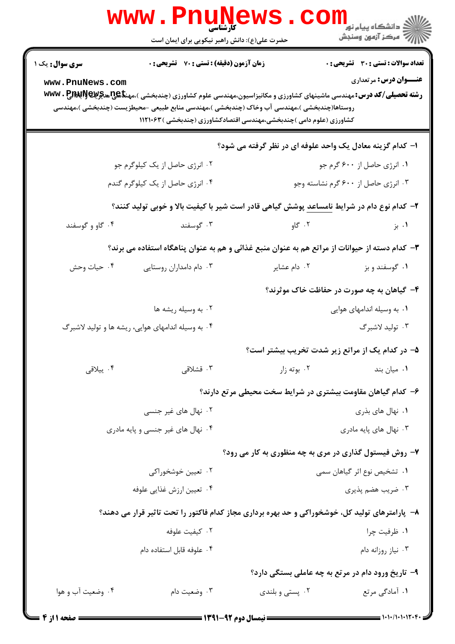|                                                                                                | <b>www.rnunet</b><br>حضرت علی(ع): دانش راهبر نیکویی برای ایمان است                                                                                                                                                              |                                                                    | ر دانشگاه پيام نور <mark>−</mark><br>ا∛ مرکز آزمون وسنجش |  |
|------------------------------------------------------------------------------------------------|---------------------------------------------------------------------------------------------------------------------------------------------------------------------------------------------------------------------------------|--------------------------------------------------------------------|----------------------------------------------------------|--|
| <b>سری سوال :</b> یک ۱                                                                         | <b>زمان آزمون (دقیقه) : تستی : 70 ٪ تشریحی : 0</b>                                                                                                                                                                              |                                                                    | <b>تعداد سوالات : تستی : 30 ٪ تشریحی : 0</b>             |  |
| www.PnuNews.com                                                                                | <b>رشته تحصیلی/کد درس:</b> مهندسی ماشینهای کشاورزی و مکانیزاسیون،مهندسی علوم کشاورزی (چندبخشی )،مهن <del>تا @U</del> NG و WWW . P<br>روستاها(چندبخشی )،مهندسی آب وخاک (چندبخشی )،مهندسی منابع طبیعی -محیطزیست (چندبخشی )،مهندسی | کشاورزی (علوم دامی )چندبخشی،مهندسی اقتصادکشاورزی (چندبخشی )۱۱۲۱۰۶۳ | <b>عنـــوان درس:</b> مرتعداری                            |  |
|                                                                                                |                                                                                                                                                                                                                                 | ا– کدام گزینه معادل یک واحد علوفه ای در نظر گرفته می شود؟          |                                                          |  |
| ۰۲ انرژی حاصل از یک کیلوگرم جو                                                                 |                                                                                                                                                                                                                                 | ۰۱ انرژی حاصل از ۶۰۰ گرم جو                                        |                                                          |  |
|                                                                                                | ۰۴ انرژی حاصل از یک کیلوگرم گندم                                                                                                                                                                                                | ۰۳ انرژی حاصل از ۶۰۰ گرم نشاسته وجو                                |                                                          |  |
|                                                                                                | ۲- کدام نوع دام در شرایط ن <u>امساعد</u> پوشش گیاهی قادر است شیر با کیفیت بالا و خوبی تولید کنند؟                                                                                                                               |                                                                    |                                                          |  |
| ۰۴ گاو و گوسفند                                                                                | ۰۳ گوسفند                                                                                                                                                                                                                       | ۰۲ گاو                                                             | ۰۱ بز                                                    |  |
| ۳– کدام دسته از حیوانات از مراتع هم به عنوان منبع غذائی و هم به عنوان پناهگاه استفاده می برند؟ |                                                                                                                                                                                                                                 |                                                                    |                                                          |  |
| ۰۴ حيات وحش                                                                                    | ۰۳ دام دامداران روستایی                                                                                                                                                                                                         | ۰۲ دام عشایر                                                       | ۰۱ گوسفند و بز                                           |  |
|                                                                                                |                                                                                                                                                                                                                                 |                                                                    | ۴- گیاهان به چه صورت در حفاظت خاک موثرند؟                |  |
|                                                                                                | ۰۲ به وسیله ریشه ها                                                                                                                                                                                                             |                                                                    | ۰۱ به وسیله اندامهای هوایی                               |  |
| ۰۴ به وسیله اندامهای هوایی، ریشه ها و تولید لاشبرگ                                             |                                                                                                                                                                                                                                 | ۰۳ تولید لاشبرگ                                                    |                                                          |  |
|                                                                                                |                                                                                                                                                                                                                                 | ۵– در کدام یک از مراتع زیر شدت تخریب بیشتر است؟                    |                                                          |  |
| ۰۴ ييلاقى                                                                                      | ۰۳ قشلاقی                                                                                                                                                                                                                       | ۰۲ بوته زار                                                        | ۰۱ میان بند                                              |  |
|                                                                                                |                                                                                                                                                                                                                                 | ۶– کدام گیاهان مقاومت بیشتری در شرایط سخت محیطی مرتع دارند؟        |                                                          |  |
|                                                                                                | ۰۲ نهال های غیر جنسی                                                                                                                                                                                                            |                                                                    | ۰۱ نهال های بذری                                         |  |
|                                                                                                | ۰۴ نهال های غیر جنسی و پایه مادری                                                                                                                                                                                               | ۰۳ نهال های پایه مادری                                             |                                                          |  |
|                                                                                                |                                                                                                                                                                                                                                 | ۷- روش فیستول گذاری در مری به چه منظوری به کار می رود؟             |                                                          |  |
|                                                                                                | ۰۲ تعیین خوشخوراکی                                                                                                                                                                                                              | ۰۱ تشخیص نوع اثر گیاهان سمی                                        |                                                          |  |
|                                                                                                | ۰۴ تعيين ارزش غذايي علوفه                                                                                                                                                                                                       | ۰۳ ضریب هضم پذیری                                                  |                                                          |  |
|                                                                                                | ۸– پارامترهای تولید کل، خوشخوراکی و حد بهره برداری مجاز کدام فاکتور را تحت تاثیر قرار می دهند؟                                                                                                                                  |                                                                    |                                                          |  |
|                                                                                                | ۰۲ کیفیت علوفه                                                                                                                                                                                                                  |                                                                    | ۰۱ ظرفیت چرا                                             |  |
|                                                                                                | ۰۴ علوفه قابل استفاده دام                                                                                                                                                                                                       |                                                                    | ۰۳ نیاز روزانه دام                                       |  |
|                                                                                                |                                                                                                                                                                                                                                 | ۹- تاریخ ورود دام در مرتع به چه عاملی بستگی دارد؟                  |                                                          |  |
| ۰۴ وضعیت آب و هوا                                                                              | ۰۳ وضعیت دام                                                                                                                                                                                                                    | ۰۲ پستی و بلندی                                                    | ۰۱ آمادگی مرتع                                           |  |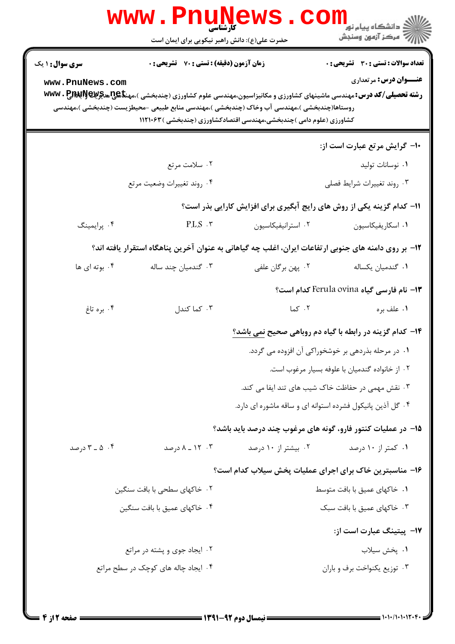|                                                                                                                                                                                                                                                                                                                                                                       | <b>WWW</b> .<br>, EAUR<br>کارشناسی<br>حضرت علی(ع): دانش راهبر نیکویی برای ایمان است |                                                                                                      | ڪ دانشڪاه پيام نور<br> 7<br> 7 مرڪز آزمون وسنڊش |  |  |
|-----------------------------------------------------------------------------------------------------------------------------------------------------------------------------------------------------------------------------------------------------------------------------------------------------------------------------------------------------------------------|-------------------------------------------------------------------------------------|------------------------------------------------------------------------------------------------------|-------------------------------------------------|--|--|
| <b>سری سوال : ۱ یک</b>                                                                                                                                                                                                                                                                                                                                                | <b>زمان آزمون (دقیقه) : تستی : 70 ٪ تشریحی : 0</b>                                  |                                                                                                      | تعداد سوالات : تستى : 30 قشريحى : 0             |  |  |
| <b>عنـــوان درس:</b> مرتعداری<br>www.PnuNews.com<br><b>رشته تحصیلی/کد درس:</b> مهندسی ماشینهای کشاورزی و مکانیزاسیون،مهندسی علوم کشاورزی (چندبخشی )،مهن <del>نا</del> گیجیسچیچیستان <b>۱۳۸۷۰۰</b><br>روستاها(چندبخشی )،مهندسی آب وخاک (چندبخشی )،مهندسی منابع طبیعی -محیطزیست (چندبخشی )،مهندسی<br>کشاورزی (علوم دامی )چندبخشی،مهندسی اقتصادکشاورزی (چندبخشی )۱۱۲۱۰۶۳ |                                                                                     |                                                                                                      |                                                 |  |  |
|                                                                                                                                                                                                                                                                                                                                                                       |                                                                                     |                                                                                                      | ۱۰– گرایش مرتع عبارت است از:                    |  |  |
|                                                                                                                                                                                                                                                                                                                                                                       | ۰۲ سلامت مرتع                                                                       |                                                                                                      | ۰۱ نوسانات تولید                                |  |  |
|                                                                                                                                                                                                                                                                                                                                                                       | ۰۴ روند تغييرات وضعيت مرتع                                                          |                                                                                                      | ۰۳ روند تغييرات شرايط فصلى                      |  |  |
|                                                                                                                                                                                                                                                                                                                                                                       |                                                                                     | 11- کدام گزینه یکی از روش های رایج آبگیری برای افزایش کارایی بذر است؟                                |                                                 |  |  |
| ۰۴ پرايمينگ                                                                                                                                                                                                                                                                                                                                                           | P.L.S.                                                                              | ٠٢ استرانيفيكاسيون                                                                                   | ٠١. اسكاريفيكاسيون                              |  |  |
|                                                                                                                                                                                                                                                                                                                                                                       |                                                                                     | ۱۲– بر روی دامنه های جنوبی ارتفاعات ایران، اغلب چه گیاهانی به عنوان آخرین پناهگاه استقرار یافته اند؟ |                                                 |  |  |
| ۰۴ بوته ای ها                                                                                                                                                                                                                                                                                                                                                         | ۰۳ گندمیان چند ساله                                                                 | ۰۲ پهن برگان علفي                                                                                    | ٠١ گندميان يكساله                               |  |  |
|                                                                                                                                                                                                                                                                                                                                                                       |                                                                                     |                                                                                                      | 1۳- نام فارسی گیاه Ferula ovina کدام است؟       |  |  |
| ۰۴ بره تاغ                                                                                                                                                                                                                                                                                                                                                            | ۰۳ کما کندل                                                                         | ۰۲ کما                                                                                               | ۰۱ علف بره                                      |  |  |
|                                                                                                                                                                                                                                                                                                                                                                       |                                                                                     | <b>۱۴</b> - کدام گزینه در رابطه با گیاه دم روباهی صحیح نمی باشد؟                                     |                                                 |  |  |
|                                                                                                                                                                                                                                                                                                                                                                       |                                                                                     | ۰۱ در مرحله بذردهی بر خوشخوراکی آن افزوده می گردد.                                                   |                                                 |  |  |
|                                                                                                                                                                                                                                                                                                                                                                       |                                                                                     |                                                                                                      | ٠٢ از خانواده گندميان با علوفه بسيار مرغوب است. |  |  |
|                                                                                                                                                                                                                                                                                                                                                                       |                                                                                     | ۰۳ نقش مهمی در حفاظت خاک شیب های تند ایفا می کند.                                                    |                                                 |  |  |
|                                                                                                                                                                                                                                                                                                                                                                       |                                                                                     | ۰۴ گل آذین پانیکول فشرده استوانه ای و ساقه ماشوره ای دارد.                                           |                                                 |  |  |
|                                                                                                                                                                                                                                                                                                                                                                       |                                                                                     | ۱۵– در عملیات کنتور فارو، گونه های مرغوب چند درصد باید باشد؟                                         |                                                 |  |  |
| ۰۴ ه _ ۳ درصد                                                                                                                                                                                                                                                                                                                                                         | ۰۳ ـ ۸ ـ ۸ درصد                                                                     | ۰۲ بیشتر از ۱۰ درصد                                                                                  | ۰۱ کمتر از ۱۰ درصد                              |  |  |
|                                                                                                                                                                                                                                                                                                                                                                       |                                                                                     | ۱۶– مناسبترین خاک برای اجرای عملیات پخش سیلاب کدام است؟                                              |                                                 |  |  |
| ۰۲ خاکهای سطحی با بافت سنگین                                                                                                                                                                                                                                                                                                                                          |                                                                                     | ۰۱ خاکهای عمیق با بافت متوسط                                                                         |                                                 |  |  |
|                                                                                                                                                                                                                                                                                                                                                                       | ۰۴ خاکهای عمیق با بافت سنگین                                                        |                                                                                                      | ۰۳ خاکهای عمیق با بافت سبک                      |  |  |
|                                                                                                                                                                                                                                                                                                                                                                       |                                                                                     |                                                                                                      | N− پیتینگ عبارت است از:                         |  |  |
|                                                                                                                                                                                                                                                                                                                                                                       | ۰۲ ایجاد جوی و پشته در مراتع                                                        |                                                                                                      | ٠١. پخش سيلاب                                   |  |  |
|                                                                                                                                                                                                                                                                                                                                                                       | ۰۴ ایجاد چاله های کوچک در سطح مراتع                                                 |                                                                                                      | ۰۳ توزیع یکنواخت برف و باران                    |  |  |
|                                                                                                                                                                                                                                                                                                                                                                       |                                                                                     |                                                                                                      |                                                 |  |  |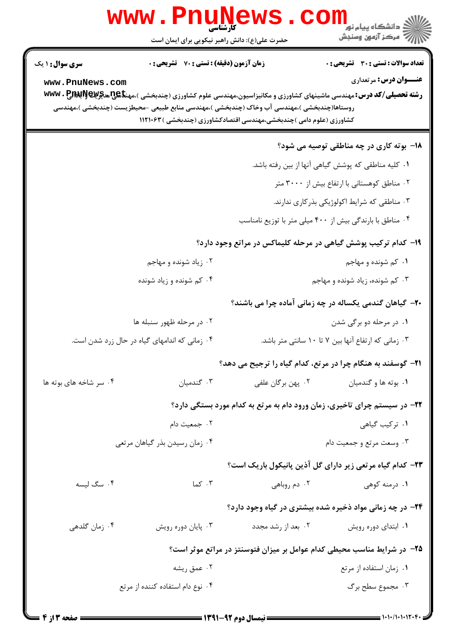|                                                                                                                                         | <b>WWW.FNUN</b><br><b>کارشناسی</b><br>حضرت علی(ع): دانش راهبر نیکویی برای ایمان است |                                                                    | دانشکاه پیام نور<br>ا∛ مرکز آزمون وسنجش                                                                                                                                                                         |
|-----------------------------------------------------------------------------------------------------------------------------------------|-------------------------------------------------------------------------------------|--------------------------------------------------------------------|-----------------------------------------------------------------------------------------------------------------------------------------------------------------------------------------------------------------|
| <b>سری سوال : ۱ یک</b><br>www.PnuNews.com<br>روستاها(چندبخشی )،مهندسی آب وخاک (چندبخشی )،مهندسی منابع طبیعی -محیطزیست (چندبخشی )،مهندسی | <b>زمان آزمون (دقیقه) : تستی : 70 ٪ تشریحی : 0</b>                                  | کشاورزی (علوم دامی )چندبخشی،مهندسی اقتصادکشاورزی (چندبخشی )۱۱۲۱۰۶۳ | <b>تعداد سوالات : تستی : 30 ٪ تشریحی : 0</b><br><b>عنـــوان درس:</b> مرتعداری<br><b>رشته تحصیلی/کد درس:</b> مهندسی ماشینهای کشاورزی و مکانیزاسیون،مهندسی علوم کشاورزی (چندبخشی )،مهنگهیچچهیچچچچچ <b>WWW . P</b> |
|                                                                                                                                         |                                                                                     |                                                                    | <b>۱۸</b> - بوته کاری در چه مناطقی توصیه می شود؟<br>۰۱ کلیه مناطقی که پوشش گیاهی آنها از بین رفته باشد.<br>۰۲ مناطق کوهستانی با ارتفاع بیش از ۳۰۰۰ متر<br>۰۳ مناطقی که شرایط اکولوژیکی بذرکاری ندارند.          |
|                                                                                                                                         | ۰۲ زیاد شونده و مهاجم<br>۰۴ کم شونده و زیاد شونده                                   |                                                                    | ۰۴ مناطق با بارندگی بیش از ۴۰۰ میلی متر با توزیع نامناسب<br>۱۹- کدام ترکیب پوشش گیاهی در مرحله کلیماکس در مراتع وجود دارد؟<br>۰۱ کم شونده و مهاجم<br>۰۳ کم شونده، زیاد شونده و مهاجم                            |
| ۰۴ زمانی که اندامهای گیاه در حال زرد شدن است.                                                                                           | ۰۲ در مرحله ظهور سنبله ها                                                           |                                                                    | ۲۰- گیاهان گندمی یکساله در چه زمانی آماده چرا می باشند؟<br>۰۱ در مرحله دو برگی شدن<br>۰۳ زمانی که ارتفاع آنها بین ۷ تا ۱۰ سانتی متر باشد.                                                                       |
| ۰۴ سر شاخه های بوته ها                                                                                                                  | ۰۳ گندمیان<br>۰۲ جمعیت دام<br>۰۴ زمان رسیدن بذر گیاهان مرتعی                        | ۰۲ پهن برگان علفي                                                  | ۲۱- گوسفند به هنگام چرا در مرتع، کدام گیاه را ترجیح می دهد؟<br>۰۱ بوته ها و گندميان<br>۲۲- در سیستم چرای تاخیری، زمان ورود دام به مرتع به کدام مورد بستگی دارد؟<br>٠١ تركيب گياهي<br>۰۳ وسعت مرتع و جمعیت دام   |
| ۰۴ سگ لیسه<br>۰۴ زمان گلدهی                                                                                                             | ۰۳ کما<br>۰۳ پایان دوره رویش                                                        | ۰۲ دم روباهی<br>۰۲ بعد از رشد مجدد                                 | ۲۳– کدام گیاه مرتعی زیر دارای گل آذین پانیکول باریک است؟<br>۰۱ درمنه کوهی<br><b>۲۴</b> - در چه زمانی مواد ذخیره شده بیشتری در گیاه وجود دارد؟<br>۰۱ ابتدای دوره رویش                                            |
|                                                                                                                                         | ۰۲ عمق ریشه<br>۰۴ نوع دام استفاده کننده از مرتع                                     |                                                                    | ۲۵– در شرایط مناسب محیطی کدام عوامل بر میزان فتوسنتز در مراتع موثر است؟<br>٠١ زمان استفاده از مرتع<br>۰۳ مجموع سطح برگ                                                                                          |